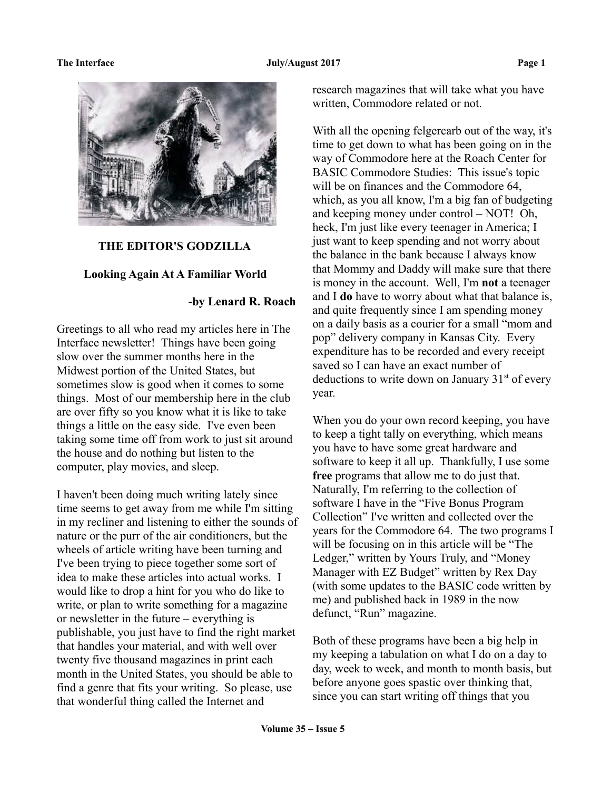

## **THE EDITOR'S GODZILLA**

### **Looking Again At A Familiar World**

# **-by Lenard R. Roach**

Greetings to all who read my articles here in The Interface newsletter! Things have been going slow over the summer months here in the Midwest portion of the United States, but sometimes slow is good when it comes to some things. Most of our membership here in the club are over fifty so you know what it is like to take things a little on the easy side. I've even been taking some time off from work to just sit around the house and do nothing but listen to the computer, play movies, and sleep.

I haven't been doing much writing lately since time seems to get away from me while I'm sitting in my recliner and listening to either the sounds of nature or the purr of the air conditioners, but the wheels of article writing have been turning and I've been trying to piece together some sort of idea to make these articles into actual works. I would like to drop a hint for you who do like to write, or plan to write something for a magazine or newsletter in the future – everything is publishable, you just have to find the right market that handles your material, and with well over twenty five thousand magazines in print each month in the United States, you should be able to find a genre that fits your writing. So please, use that wonderful thing called the Internet and

research magazines that will take what you have written, Commodore related or not.

With all the opening felgercarb out of the way, it's time to get down to what has been going on in the way of Commodore here at the Roach Center for BASIC Commodore Studies: This issue's topic will be on finances and the Commodore 64, which, as you all know, I'm a big fan of budgeting and keeping money under control – NOT! Oh, heck, I'm just like every teenager in America; I just want to keep spending and not worry about the balance in the bank because I always know that Mommy and Daddy will make sure that there is money in the account. Well, I'm **not** a teenager and I **do** have to worry about what that balance is, and quite frequently since I am spending money on a daily basis as a courier for a small "mom and pop" delivery company in Kansas City. Every expenditure has to be recorded and every receipt saved so I can have an exact number of deductions to write down on January  $31<sup>st</sup>$  of every year.

When you do your own record keeping, you have to keep a tight tally on everything, which means you have to have some great hardware and software to keep it all up. Thankfully, I use some **free** programs that allow me to do just that. Naturally, I'm referring to the collection of software I have in the "Five Bonus Program Collection" I've written and collected over the years for the Commodore 64. The two programs I will be focusing on in this article will be "The Ledger," written by Yours Truly, and "Money Manager with EZ Budget" written by Rex Day (with some updates to the BASIC code written by me) and published back in 1989 in the now defunct, "Run" magazine.

Both of these programs have been a big help in my keeping a tabulation on what I do on a day to day, week to week, and month to month basis, but before anyone goes spastic over thinking that, since you can start writing off things that you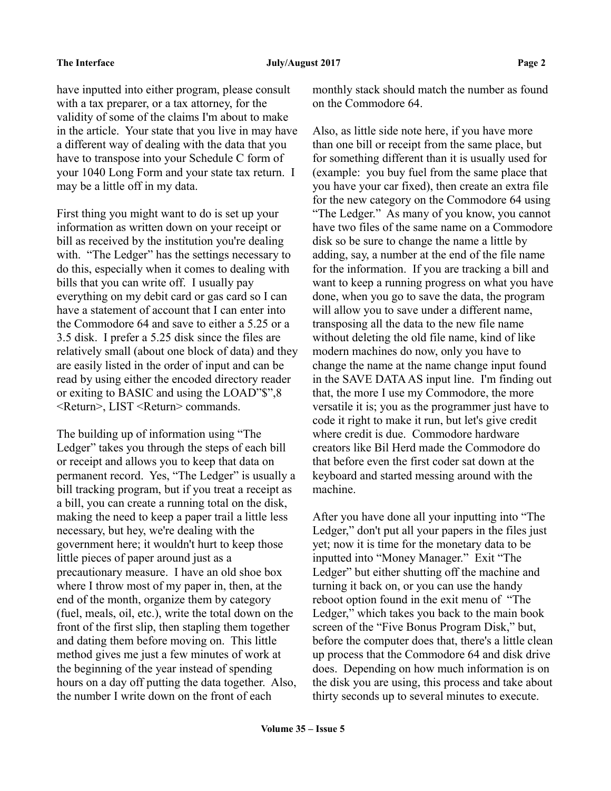have inputted into either program, please consult with a tax preparer, or a tax attorney, for the validity of some of the claims I'm about to make in the article. Your state that you live in may have a different way of dealing with the data that you have to transpose into your Schedule C form of your 1040 Long Form and your state tax return. I may be a little off in my data.

First thing you might want to do is set up your information as written down on your receipt or bill as received by the institution you're dealing with. "The Ledger" has the settings necessary to do this, especially when it comes to dealing with bills that you can write off. I usually pay everything on my debit card or gas card so I can have a statement of account that I can enter into the Commodore 64 and save to either a 5.25 or a 3.5 disk. I prefer a 5.25 disk since the files are relatively small (about one block of data) and they are easily listed in the order of input and can be read by using either the encoded directory reader or exiting to BASIC and using the LOAD"\$",8 <Return>, LIST <Return> commands.

The building up of information using "The Ledger" takes you through the steps of each bill or receipt and allows you to keep that data on permanent record. Yes, "The Ledger" is usually a bill tracking program, but if you treat a receipt as a bill, you can create a running total on the disk, making the need to keep a paper trail a little less necessary, but hey, we're dealing with the government here; it wouldn't hurt to keep those little pieces of paper around just as a precautionary measure. I have an old shoe box where I throw most of my paper in, then, at the end of the month, organize them by category (fuel, meals, oil, etc.), write the total down on the front of the first slip, then stapling them together and dating them before moving on. This little method gives me just a few minutes of work at the beginning of the year instead of spending hours on a day off putting the data together. Also, the number I write down on the front of each

monthly stack should match the number as found on the Commodore 64.

Also, as little side note here, if you have more than one bill or receipt from the same place, but for something different than it is usually used for (example: you buy fuel from the same place that you have your car fixed), then create an extra file for the new category on the Commodore 64 using "The Ledger." As many of you know, you cannot have two files of the same name on a Commodore disk so be sure to change the name a little by adding, say, a number at the end of the file name for the information. If you are tracking a bill and want to keep a running progress on what you have done, when you go to save the data, the program will allow you to save under a different name, transposing all the data to the new file name without deleting the old file name, kind of like modern machines do now, only you have to change the name at the name change input found in the SAVE DATA AS input line. I'm finding out that, the more I use my Commodore, the more versatile it is; you as the programmer just have to code it right to make it run, but let's give credit where credit is due. Commodore hardware creators like Bil Herd made the Commodore do that before even the first coder sat down at the keyboard and started messing around with the machine.

After you have done all your inputting into "The Ledger," don't put all your papers in the files just yet; now it is time for the monetary data to be inputted into "Money Manager." Exit "The Ledger" but either shutting off the machine and turning it back on, or you can use the handy reboot option found in the exit menu of "The Ledger," which takes you back to the main book screen of the "Five Bonus Program Disk," but, before the computer does that, there's a little clean up process that the Commodore 64 and disk drive does. Depending on how much information is on the disk you are using, this process and take about thirty seconds up to several minutes to execute.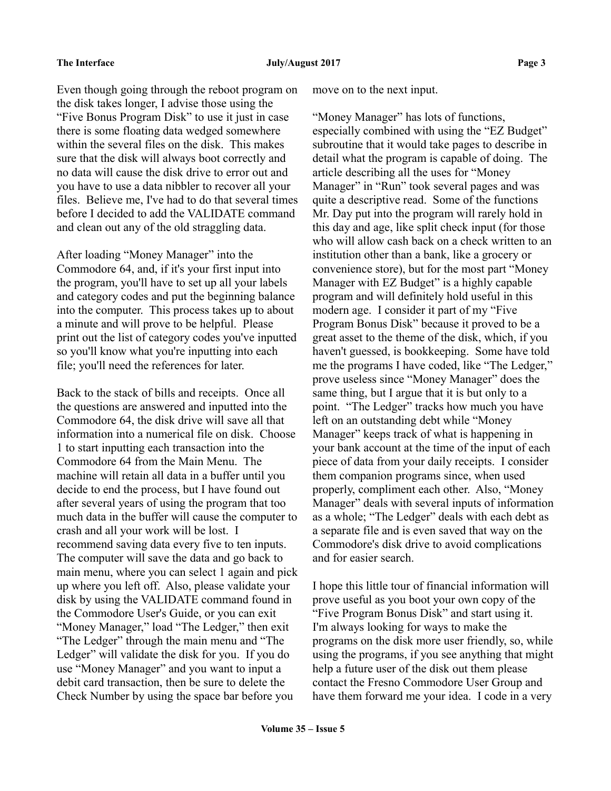Even though going through the reboot program on the disk takes longer, I advise those using the "Five Bonus Program Disk" to use it just in case there is some floating data wedged somewhere within the several files on the disk. This makes sure that the disk will always boot correctly and no data will cause the disk drive to error out and you have to use a data nibbler to recover all your files. Believe me, I've had to do that several times before I decided to add the VALIDATE command and clean out any of the old straggling data.

After loading "Money Manager" into the Commodore 64, and, if it's your first input into the program, you'll have to set up all your labels and category codes and put the beginning balance into the computer. This process takes up to about a minute and will prove to be helpful. Please print out the list of category codes you've inputted so you'll know what you're inputting into each file; you'll need the references for later.

Back to the stack of bills and receipts. Once all the questions are answered and inputted into the Commodore 64, the disk drive will save all that information into a numerical file on disk. Choose 1 to start inputting each transaction into the Commodore 64 from the Main Menu. The machine will retain all data in a buffer until you decide to end the process, but I have found out after several years of using the program that too much data in the buffer will cause the computer to crash and all your work will be lost. I recommend saving data every five to ten inputs. The computer will save the data and go back to main menu, where you can select 1 again and pick up where you left off. Also, please validate your disk by using the VALIDATE command found in the Commodore User's Guide, or you can exit "Money Manager," load "The Ledger," then exit "The Ledger" through the main menu and "The Ledger" will validate the disk for you. If you do use "Money Manager" and you want to input a debit card transaction, then be sure to delete the Check Number by using the space bar before you

move on to the next input.

"Money Manager" has lots of functions, especially combined with using the "EZ Budget" subroutine that it would take pages to describe in detail what the program is capable of doing. The article describing all the uses for "Money Manager" in "Run" took several pages and was quite a descriptive read. Some of the functions Mr. Day put into the program will rarely hold in this day and age, like split check input (for those who will allow cash back on a check written to an institution other than a bank, like a grocery or convenience store), but for the most part "Money Manager with EZ Budget" is a highly capable program and will definitely hold useful in this modern age. I consider it part of my "Five Program Bonus Disk" because it proved to be a great asset to the theme of the disk, which, if you haven't guessed, is bookkeeping. Some have told me the programs I have coded, like "The Ledger," prove useless since "Money Manager" does the same thing, but I argue that it is but only to a point. "The Ledger" tracks how much you have left on an outstanding debt while "Money Manager" keeps track of what is happening in your bank account at the time of the input of each piece of data from your daily receipts. I consider them companion programs since, when used properly, compliment each other. Also, "Money Manager" deals with several inputs of information as a whole; "The Ledger" deals with each debt as a separate file and is even saved that way on the Commodore's disk drive to avoid complications and for easier search.

I hope this little tour of financial information will prove useful as you boot your own copy of the "Five Program Bonus Disk" and start using it. I'm always looking for ways to make the programs on the disk more user friendly, so, while using the programs, if you see anything that might help a future user of the disk out them please contact the Fresno Commodore User Group and have them forward me your idea. I code in a very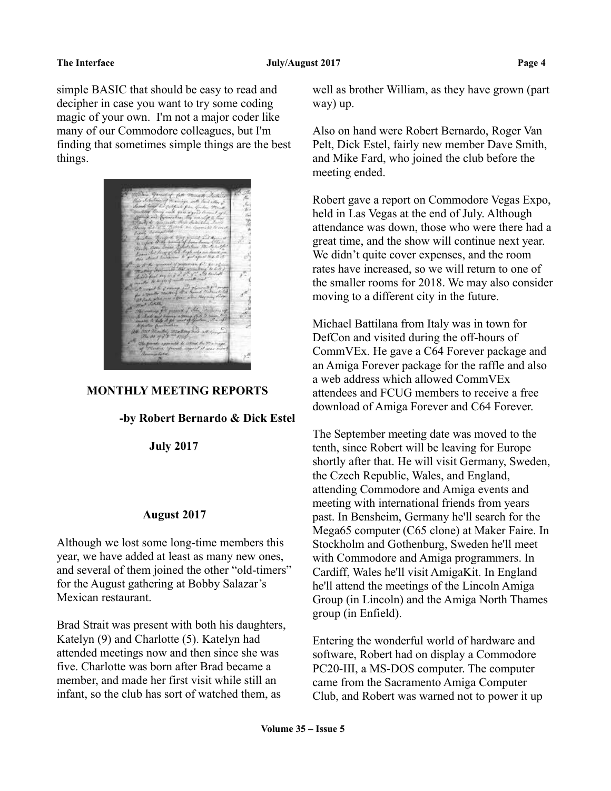simple BASIC that should be easy to read and decipher in case you want to try some coding magic of your own. I'm not a major coder like many of our Commodore colleagues, but I'm finding that sometimes simple things are the best things.



### **MONTHLY MEETING REPORTS**

### **-by Robert Bernardo & Dick Estel**

 **July 2017**

### **August 2017**

Although we lost some long-time members this year, we have added at least as many new ones, and several of them joined the other "old-timers" for the August gathering at Bobby Salazar's Mexican restaurant.

Brad Strait was present with both his daughters, Katelyn (9) and Charlotte (5). Katelyn had attended meetings now and then since she was five. Charlotte was born after Brad became a member, and made her first visit while still an infant, so the club has sort of watched them, as

well as brother William, as they have grown (part way) up.

Also on hand were Robert Bernardo, Roger Van Pelt, Dick Estel, fairly new member Dave Smith, and Mike Fard, who joined the club before the meeting ended.

Robert gave a report on Commodore Vegas Expo, held in Las Vegas at the end of July. Although attendance was down, those who were there had a great time, and the show will continue next year. We didn't quite cover expenses, and the room rates have increased, so we will return to one of the smaller rooms for 2018. We may also consider moving to a different city in the future.

Michael Battilana from Italy was in town for DefCon and visited during the off-hours of CommVEx. He gave a C64 Forever package and an Amiga Forever package for the raffle and also a web address which allowed CommVEx attendees and FCUG members to receive a free download of Amiga Forever and C64 Forever.

The September meeting date was moved to the tenth, since Robert will be leaving for Europe shortly after that. He will visit Germany, Sweden, the Czech Republic, Wales, and England, attending Commodore and Amiga events and meeting with international friends from years past. In Bensheim, Germany he'll search for the Mega65 computer (C65 clone) at Maker Faire. In Stockholm and Gothenburg, Sweden he'll meet with Commodore and Amiga programmers. In Cardiff, Wales he'll visit AmigaKit. In England he'll attend the meetings of the Lincoln Amiga Group (in Lincoln) and the Amiga North Thames group (in Enfield).

Entering the wonderful world of hardware and software, Robert had on display a Commodore PC20-III, a MS-DOS computer. The computer came from the Sacramento Amiga Computer Club, and Robert was warned not to power it up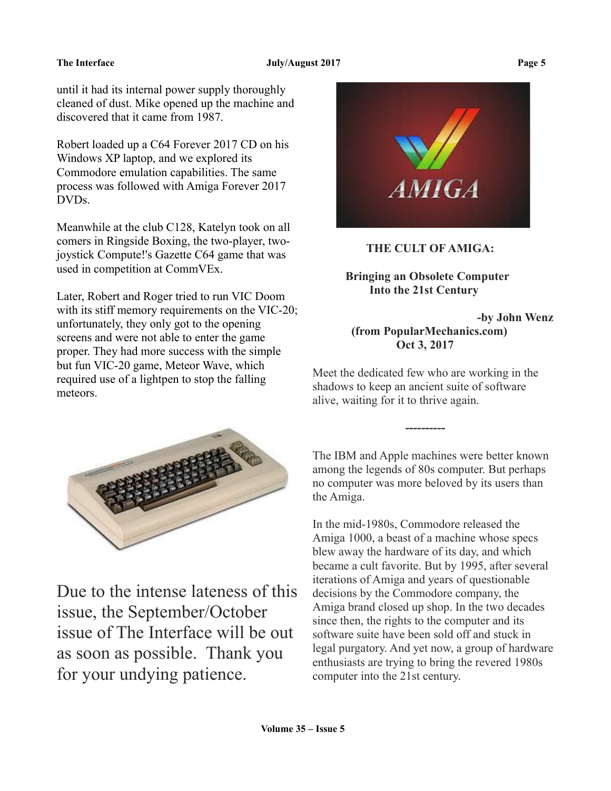### **The Interface Server August 2017** Page 5

until it had its internal power supply thoroughly cleaned of dust. Mike opened up the machine and discovered that it came from 1987.

Robert loaded up a C64 Forever 2017 CD on his Windows XP laptop, and we explored its Commodore emulation capabilities. The same process was followed with Amiga Forever 2017 DVDs.

Meanwhile at the club C128, Katelyn took on all comers in Ringside Boxing, the two-player, twojoystick Compute!'s Gazette C64 game that was used in competition at CommVEx.

Later, Robert and Roger tried to run VIC Doom with its stiff memory requirements on the VIC-20; unfortunately, they only got to the opening screens and were not able to enter the game proper. They had more success with the simple but fun VIC-20 game, Meteor Wave, which required use of a lightpen to stop the falling meteors.



Due to the intense lateness of this issue, the September/October issue of The Interface will be out as soon as possible. Thank you for your undying patience.



# **THE CULT OF AMIGA:**

# **Bringing an Obsolete Computer Into the 21st Century**

# **-by John Wenz (from PopularMechanics.com) Oct 3, 2017**

Meet the dedicated few who are working in the shadows to keep an ancient suite of software alive, waiting for it to thrive again.

 **----------**

The IBM and Apple machines were better known among the legends of 80s computer. But perhaps no computer was more beloved by its users than the Amiga.

In the mid-1980s, Commodore released the Amiga 1000, a beast of a machine whose specs blew away the hardware of its day, and which became a cult favorite. But by 1995, after several iterations of Amiga and years of questionable decisions by the Commodore company, the Amiga brand closed up shop. In the two decades since then, the rights to the computer and its software suite have been sold off and stuck in legal purgatory. And yet now, a group of hardware enthusiasts are trying to bring the revered 1980s computer into the 21st century.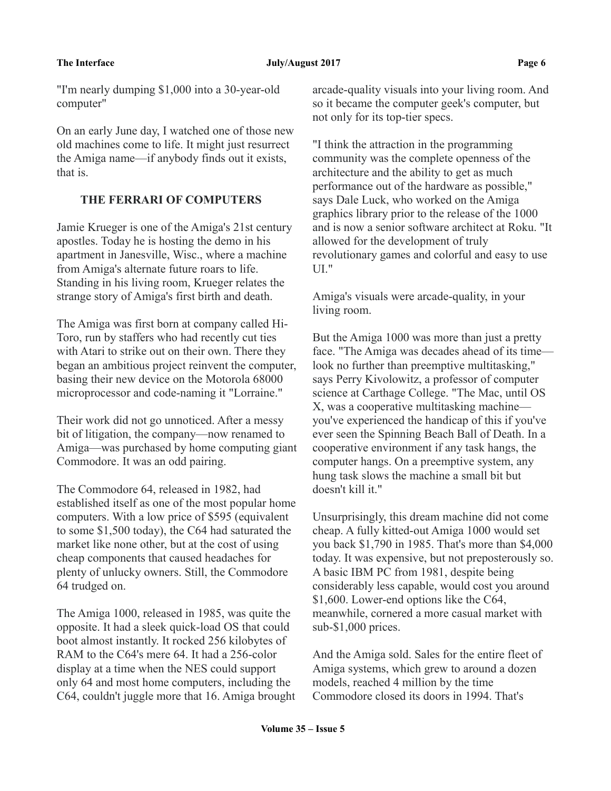### **The Interface Server August 2017** Page 6

"I'm nearly dumping \$1,000 into a 30-year-old computer"

On an early June day, I watched one of those new old machines come to life. It might just resurrect the Amiga name—if anybody finds out it exists, that is.

# **THE FERRARI OF COMPUTERS**

Jamie Krueger is one of the Amiga's 21st century apostles. Today he is hosting the demo in his apartment in Janesville, Wisc., where a machine from Amiga's alternate future roars to life. Standing in his living room, Krueger relates the strange story of Amiga's first birth and death.

The Amiga was first born at company called Hi-Toro, run by staffers who had recently cut ties with Atari to strike out on their own. There they began an ambitious project reinvent the computer, basing their new device on the Motorola 68000 microprocessor and code-naming it "Lorraine."

Their work did not go unnoticed. After a messy bit of litigation, the company—now renamed to Amiga—was purchased by home computing giant Commodore. It was an odd pairing.

The Commodore 64, released in 1982, had established itself as one of the most popular home computers. With a low price of \$595 (equivalent to some \$1,500 today), the C64 had saturated the market like none other, but at the cost of using cheap components that caused headaches for plenty of unlucky owners. Still, the Commodore 64 trudged on.

The Amiga 1000, released in 1985, was quite the opposite. It had a sleek quick-load OS that could boot almost instantly. It rocked 256 kilobytes of RAM to the C64's mere 64. It had a 256-color display at a time when the NES could support only 64 and most home computers, including the C64, couldn't juggle more that 16. Amiga brought arcade-quality visuals into your living room. And so it became the computer geek's computer, but not only for its top-tier specs.

"I think the attraction in the programming community was the complete openness of the architecture and the ability to get as much performance out of the hardware as possible," says Dale Luck, who worked on the Amiga graphics library prior to the release of the 1000 and is now a senior software architect at Roku. "It allowed for the development of truly revolutionary games and colorful and easy to use UI."

Amiga's visuals were arcade-quality, in your living room.

But the Amiga 1000 was more than just a pretty face. "The Amiga was decades ahead of its time look no further than preemptive multitasking," says Perry Kivolowitz, a professor of computer science at Carthage College. "The Mac, until OS X, was a cooperative multitasking machine you've experienced the handicap of this if you've ever seen the Spinning Beach Ball of Death. In a cooperative environment if any task hangs, the computer hangs. On a preemptive system, any hung task slows the machine a small bit but doesn't kill it."

Unsurprisingly, this dream machine did not come cheap. A fully kitted-out Amiga 1000 would set you back \$1,790 in 1985. That's more than \$4,000 today. It was expensive, but not preposterously so. A basic IBM PC from 1981, despite being considerably less capable, would cost you around \$1,600. Lower-end options like the C64, meanwhile, cornered a more casual market with sub-\$1,000 prices.

And the Amiga sold. Sales for the entire fleet of Amiga systems, which grew to around a dozen models, reached 4 million by the time Commodore closed its doors in 1994. That's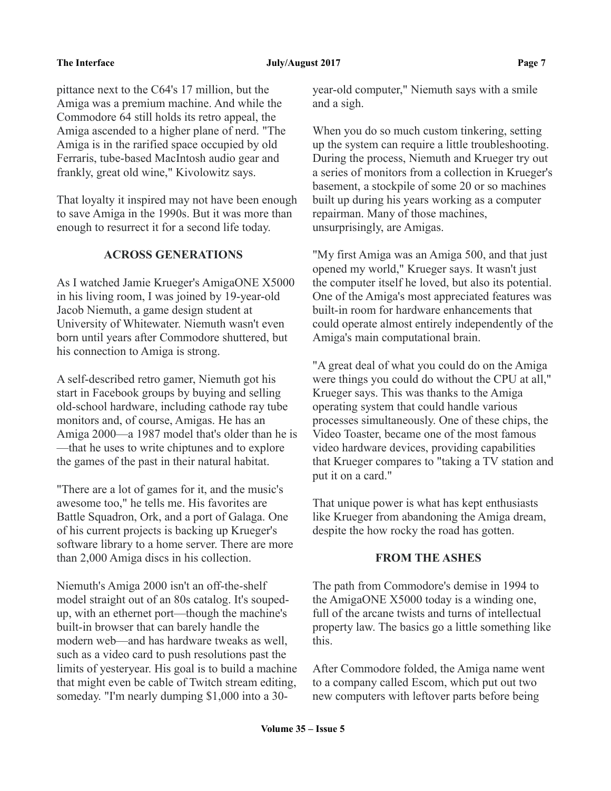### **The Interface 2017** Page 7 **Page 7**

pittance next to the C64's 17 million, but the Amiga was a premium machine. And while the Commodore 64 still holds its retro appeal, the Amiga ascended to a higher plane of nerd. "The Amiga is in the rarified space occupied by old Ferraris, tube-based MacIntosh audio gear and frankly, great old wine," Kivolowitz says.

That loyalty it inspired may not have been enough to save Amiga in the 1990s. But it was more than enough to resurrect it for a second life today.

## **ACROSS GENERATIONS**

As I watched Jamie Krueger's AmigaONE X5000 in his living room, I was joined by 19-year-old Jacob Niemuth, a game design student at University of Whitewater. Niemuth wasn't even born until years after Commodore shuttered, but his connection to Amiga is strong.

A self-described retro gamer, Niemuth got his start in Facebook groups by buying and selling old-school hardware, including cathode ray tube monitors and, of course, Amigas. He has an Amiga 2000—a 1987 model that's older than he is —that he uses to write chiptunes and to explore the games of the past in their natural habitat.

"There are a lot of games for it, and the music's awesome too," he tells me. His favorites are Battle Squadron, Ork, and a port of Galaga. One of his current projects is backing up Krueger's software library to a home server. There are more than 2,000 Amiga discs in his collection.

Niemuth's Amiga 2000 isn't an off-the-shelf model straight out of an 80s catalog. It's soupedup, with an ethernet port—though the machine's built-in browser that can barely handle the modern web—and has hardware tweaks as well, such as a video card to push resolutions past the limits of yesteryear. His goal is to build a machine that might even be cable of Twitch stream editing, someday. "I'm nearly dumping \$1,000 into a 30year-old computer," Niemuth says with a smile and a sigh.

When you do so much custom tinkering, setting up the system can require a little troubleshooting. During the process, Niemuth and Krueger try out a series of monitors from a collection in Krueger's basement, a stockpile of some 20 or so machines built up during his years working as a computer repairman. Many of those machines, unsurprisingly, are Amigas.

"My first Amiga was an Amiga 500, and that just opened my world," Krueger says. It wasn't just the computer itself he loved, but also its potential. One of the Amiga's most appreciated features was built-in room for hardware enhancements that could operate almost entirely independently of the Amiga's main computational brain.

"A great deal of what you could do on the Amiga were things you could do without the CPU at all," Krueger says. This was thanks to the Amiga operating system that could handle various processes simultaneously. One of these chips, the Video Toaster, became one of the most famous video hardware devices, providing capabilities that Krueger compares to "taking a TV station and put it on a card."

That unique power is what has kept enthusiasts like Krueger from abandoning the Amiga dream, despite the how rocky the road has gotten.

### **FROM THE ASHES**

The path from Commodore's demise in 1994 to the AmigaONE X5000 today is a winding one, full of the arcane twists and turns of intellectual property law. The basics go a little something like this.

After Commodore folded, the Amiga name went to a company called Escom, which put out two new computers with leftover parts before being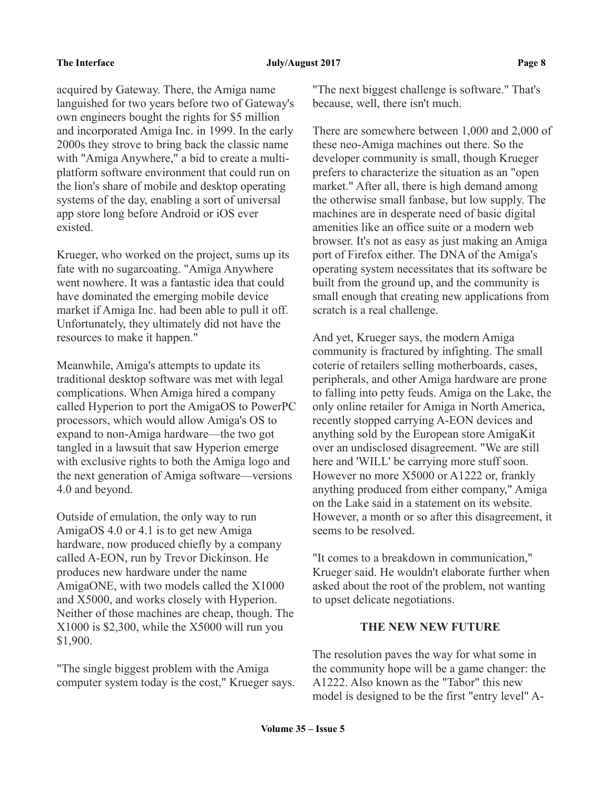acquired by Gateway. There, the Amiga name languished for two years before two of Gateway's own engineers bought the rights for \$5 million and incorporated Amiga Inc. in 1999. In the early 2000s they strove to bring back the classic name with "Amiga Anywhere," a bid to create a multiplatform software environment that could run on the lion's share of mobile and desktop operating systems of the day, enabling a sort of universal app store long before Android or iOS ever existed.

Krueger, who worked on the project, sums up its fate with no sugarcoating. "Amiga Anywhere went nowhere. It was a fantastic idea that could have dominated the emerging mobile device market if Amiga Inc. had been able to pull it off. Unfortunately, they ultimately did not have the resources to make it happen."

Meanwhile, Amiga's attempts to update its traditional desktop software was met with legal complications. When Amiga hired a company called Hyperion to port the AmigaOS to PowerPC processors, which would allow Amiga's OS to expand to non-Amiga hardware—the two got tangled in a lawsuit that saw Hyperion emerge with exclusive rights to both the Amiga logo and the next generation of Amiga software—versions 4.0 and beyond.

Outside of emulation, the only way to run AmigaOS 4.0 or 4.1 is to get new Amiga hardware, now produced chiefly by a company called A-EON, run by Trevor Dickinson. He produces new hardware under the name AmigaONE, with two models called the X1000 and X5000, and works closely with Hyperion. Neither of those machines are cheap, though. The X1000 is \$2,300, while the X5000 will run you \$1,900.

"The single biggest problem with the Amiga computer system today is the cost," Krueger says. "The next biggest challenge is software." That's because, well, there isn't much.

There are somewhere between 1,000 and 2,000 of these neo-Amiga machines out there. So the developer community is small, though Krueger prefers to characterize the situation as an "open market." After all, there is high demand among the otherwise small fanbase, but low supply. The machines are in desperate need of basic digital amenities like an office suite or a modern web browser. It's not as easy as just making an Amiga port of Firefox either. The DNA of the Amiga's operating system necessitates that its software be built from the ground up, and the community is small enough that creating new applications from scratch is a real challenge.

And yet, Krueger says, the modern Amiga community is fractured by infighting. The small coterie of retailers selling motherboards, cases, peripherals, and other Amiga hardware are prone to falling into petty feuds. Amiga on the Lake, the only online retailer for Amiga in North America, recently stopped carrying A-EON devices and anything sold by the European store AmigaKit over an undisclosed disagreement. "We are still here and 'WILL' be carrying more stuff soon. However no more X5000 or A1222 or, frankly anything produced from either company," Amiga on the Lake said in a statement on its website. However, a month or so after this disagreement, it seems to be resolved.

"It comes to a breakdown in communication," Krueger said. He wouldn't elaborate further when asked about the root of the problem, not wanting to upset delicate negotiations.

# **THE NEW NEW FUTURE**

The resolution paves the way for what some in the community hope will be a game changer: the A1222. Also known as the "Tabor" this new model is designed to be the first "entry level" A-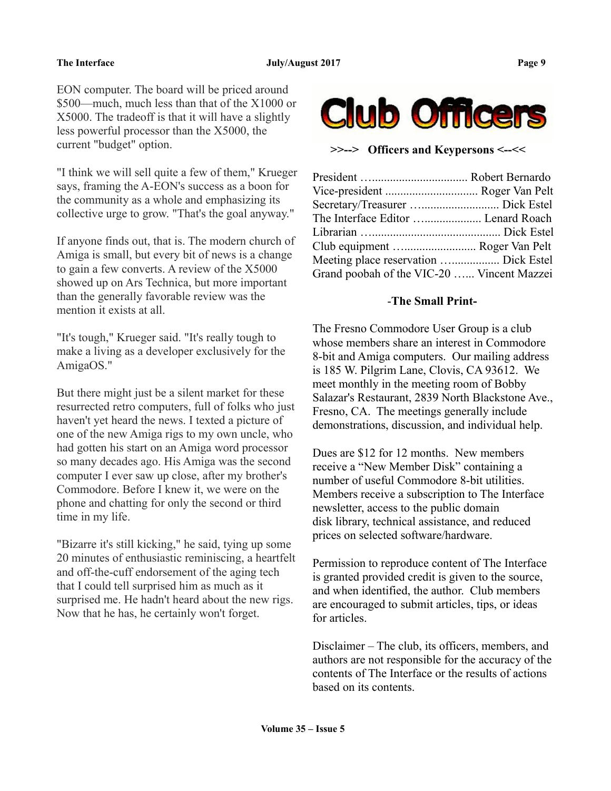EON computer. The board will be priced around \$500—much, much less than that of the X1000 or X5000. The tradeoff is that it will have a slightly less powerful processor than the X5000, the current "budget" option.

"I think we will sell quite a few of them," Krueger says, framing the A-EON's success as a boon for the community as a whole and emphasizing its collective urge to grow. "That's the goal anyway."

If anyone finds out, that is. The modern church of Amiga is small, but every bit of news is a change to gain a few converts. A review of the X5000 showed up on Ars Technica, but more important than the generally favorable review was the mention it exists at all.

"It's tough," Krueger said. "It's really tough to make a living as a developer exclusively for the AmigaOS."

But there might just be a silent market for these resurrected retro computers, full of folks who just haven't yet heard the news. I texted a picture of one of the new Amiga rigs to my own uncle, who had gotten his start on an Amiga word processor so many decades ago. His Amiga was the second computer I ever saw up close, after my brother's Commodore. Before I knew it, we were on the phone and chatting for only the second or third time in my life.

"Bizarre it's still kicking," he said, tying up some 20 minutes of enthusiastic reminiscing, a heartfelt and off-the-cuff endorsement of the aging tech that I could tell surprised him as much as it surprised me. He hadn't heard about the new rigs. Now that he has, he certainly won't forget.



**>>--> Officers and Keypersons <--<<**

| The Interface Editor  Lenard Roach         |  |
|--------------------------------------------|--|
|                                            |  |
| Club equipment  Roger Van Pelt             |  |
| Meeting place reservation  Dick Estel      |  |
| Grand poobah of the VIC-20  Vincent Mazzei |  |
|                                            |  |

# -**The Small Print-**

The Fresno Commodore User Group is a club whose members share an interest in Commodore 8-bit and Amiga computers. Our mailing address is 185 W. Pilgrim Lane, Clovis, CA 93612. We meet monthly in the meeting room of Bobby Salazar's Restaurant, 2839 North Blackstone Ave., Fresno, CA. The meetings generally include demonstrations, discussion, and individual help.

Dues are \$12 for 12 months. New members receive a "New Member Disk" containing a number of useful Commodore 8-bit utilities. Members receive a subscription to The Interface newsletter, access to the public domain disk library, technical assistance, and reduced prices on selected software/hardware.

Permission to reproduce content of The Interface is granted provided credit is given to the source, and when identified, the author. Club members are encouraged to submit articles, tips, or ideas for articles.

Disclaimer – The club, its officers, members, and authors are not responsible for the accuracy of the contents of The Interface or the results of actions based on its contents.